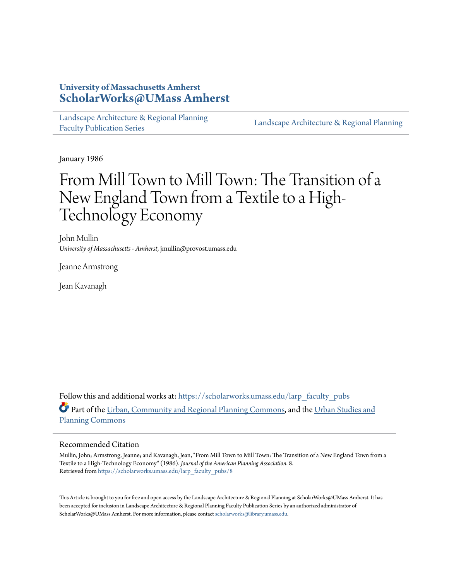# **University of Massachusetts Amherst [ScholarWorks@UMass Amherst](https://scholarworks.umass.edu?utm_source=scholarworks.umass.edu%2Flarp_faculty_pubs%2F8&utm_medium=PDF&utm_campaign=PDFCoverPages)**

[Landscape Architecture & Regional Planning](https://scholarworks.umass.edu/larp_faculty_pubs?utm_source=scholarworks.umass.edu%2Flarp_faculty_pubs%2F8&utm_medium=PDF&utm_campaign=PDFCoverPages) [Faculty Publication Series](https://scholarworks.umass.edu/larp_faculty_pubs?utm_source=scholarworks.umass.edu%2Flarp_faculty_pubs%2F8&utm_medium=PDF&utm_campaign=PDFCoverPages)

[Landscape Architecture & Regional Planning](https://scholarworks.umass.edu/larp?utm_source=scholarworks.umass.edu%2Flarp_faculty_pubs%2F8&utm_medium=PDF&utm_campaign=PDFCoverPages)

January 1986

# From Mill Town to Mill Town: The Transition of a New England Town from a Textile to a High-Technology Economy

John Mullin *University of Massachusetts - Amherst*, jmullin@provost.umass.edu

Jeanne Armstrong

Jean Kavanagh

Follow this and additional works at: [https://scholarworks.umass.edu/larp\\_faculty\\_pubs](https://scholarworks.umass.edu/larp_faculty_pubs?utm_source=scholarworks.umass.edu%2Flarp_faculty_pubs%2F8&utm_medium=PDF&utm_campaign=PDFCoverPages) Part of the [Urban, Community and Regional Planning Commons](http://network.bepress.com/hgg/discipline/776?utm_source=scholarworks.umass.edu%2Flarp_faculty_pubs%2F8&utm_medium=PDF&utm_campaign=PDFCoverPages), and the [Urban Studies and](http://network.bepress.com/hgg/discipline/436?utm_source=scholarworks.umass.edu%2Flarp_faculty_pubs%2F8&utm_medium=PDF&utm_campaign=PDFCoverPages) [Planning Commons](http://network.bepress.com/hgg/discipline/436?utm_source=scholarworks.umass.edu%2Flarp_faculty_pubs%2F8&utm_medium=PDF&utm_campaign=PDFCoverPages)

#### Recommended Citation

Mullin, John; Armstrong, Jeanne; and Kavanagh, Jean, "From Mill Town to Mill Town: The Transition of a New England Town from a Textile to a High-Technology Economy" (1986). *Journal of the American Planning Association*. 8. Retrieved from [https://scholarworks.umass.edu/larp\\_faculty\\_pubs/8](https://scholarworks.umass.edu/larp_faculty_pubs/8?utm_source=scholarworks.umass.edu%2Flarp_faculty_pubs%2F8&utm_medium=PDF&utm_campaign=PDFCoverPages)

This Article is brought to you for free and open access by the Landscape Architecture & Regional Planning at ScholarWorks@UMass Amherst. It has been accepted for inclusion in Landscape Architecture & Regional Planning Faculty Publication Series by an authorized administrator of ScholarWorks@UMass Amherst. For more information, please contact [scholarworks@library.umass.edu.](mailto:scholarworks@library.umass.edu)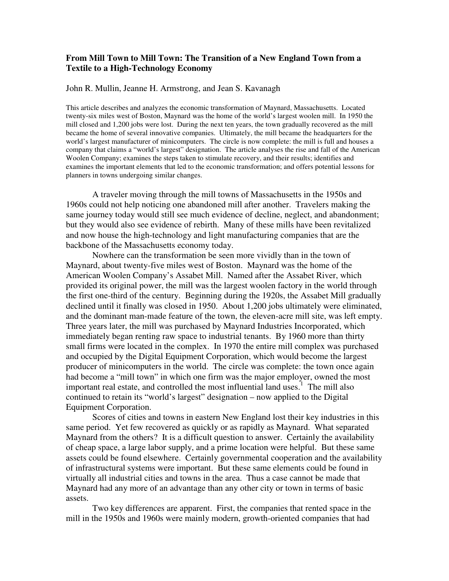# **From Mill Town to Mill Town: The Transition of a New England Town from a Textile to a High-Technology Economy**

#### John R. Mullin, Jeanne H. Armstrong, and Jean S. Kavanagh

This article describes and analyzes the economic transformation of Maynard, Massachusetts. Located twenty-six miles west of Boston, Maynard was the home of the world's largest woolen mill. In 1950 the mill closed and 1,200 jobs were lost. During the next ten years, the town gradually recovered as the mill became the home of several innovative companies. Ultimately, the mill became the headquarters for the world's largest manufacturer of minicomputers. The circle is now complete: the mill is full and houses a company that claims a "world's largest" designation. The article analyses the rise and fall of the American Woolen Company; examines the steps taken to stimulate recovery, and their results; identifies and examines the important elements that led to the economic transformation; and offers potential lessons for planners in towns undergoing similar changes.

A traveler moving through the mill towns of Massachusetts in the 1950s and 1960s could not help noticing one abandoned mill after another. Travelers making the same journey today would still see much evidence of decline, neglect, and abandonment; but they would also see evidence of rebirth. Many of these mills have been revitalized and now house the high-technology and light manufacturing companies that are the backbone of the Massachusetts economy today.

Nowhere can the transformation be seen more vividly than in the town of Maynard, about twenty-five miles west of Boston. Maynard was the home of the American Woolen Company's Assabet Mill. Named after the Assabet River, which provided its original power, the mill was the largest woolen factory in the world through the first one-third of the century. Beginning during the 1920s, the Assabet Mill gradually declined until it finally was closed in 1950. About 1,200 jobs ultimately were eliminated, and the dominant man-made feature of the town, the eleven-acre mill site, was left empty. Three years later, the mill was purchased by Maynard Industries Incorporated, which immediately began renting raw space to industrial tenants. By 1960 more than thirty small firms were located in the complex. In 1970 the entire mill complex was purchased and occupied by the Digital Equipment Corporation, which would become the largest producer of minicomputers in the world. The circle was complete: the town once again had become a "mill town" in which one firm was the major employer, owned the most important real estate, and controlled the most influential land uses.<sup>1</sup> The mill also continued to retain its "world's largest" designation – now applied to the Digital Equipment Corporation.

Scores of cities and towns in eastern New England lost their key industries in this same period. Yet few recovered as quickly or as rapidly as Maynard. What separated Maynard from the others? It is a difficult question to answer. Certainly the availability of cheap space, a large labor supply, and a prime location were helpful. But these same assets could be found elsewhere. Certainly governmental cooperation and the availability of infrastructural systems were important. But these same elements could be found in virtually all industrial cities and towns in the area. Thus a case cannot be made that Maynard had any more of an advantage than any other city or town in terms of basic assets.

Two key differences are apparent. First, the companies that rented space in the mill in the 1950s and 1960s were mainly modern, growth-oriented companies that had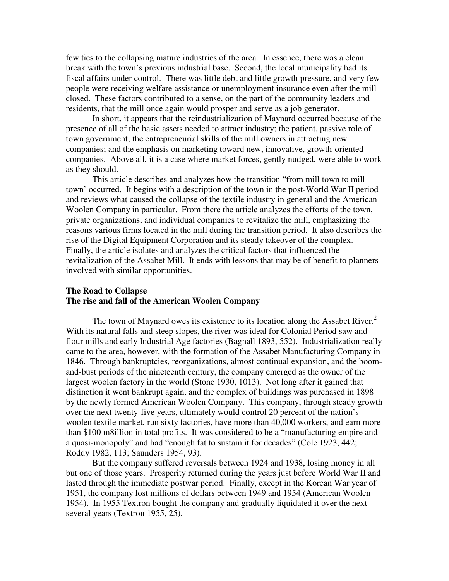few ties to the collapsing mature industries of the area. In essence, there was a clean break with the town's previous industrial base. Second, the local municipality had its fiscal affairs under control. There was little debt and little growth pressure, and very few people were receiving welfare assistance or unemployment insurance even after the mill closed. These factors contributed to a sense, on the part of the community leaders and residents, that the mill once again would prosper and serve as a job generator.

In short, it appears that the reindustrialization of Maynard occurred because of the presence of all of the basic assets needed to attract industry; the patient, passive role of town government; the entrepreneurial skills of the mill owners in attracting new companies; and the emphasis on marketing toward new, innovative, growth-oriented companies. Above all, it is a case where market forces, gently nudged, were able to work as they should.

This article describes and analyzes how the transition "from mill town to mill town' occurred. It begins with a description of the town in the post-World War II period and reviews what caused the collapse of the textile industry in general and the American Woolen Company in particular. From there the article analyzes the efforts of the town, private organizations, and individual companies to revitalize the mill, emphasizing the reasons various firms located in the mill during the transition period. It also describes the rise of the Digital Equipment Corporation and its steady takeover of the complex. Finally, the article isolates and analyzes the critical factors that influenced the revitalization of the Assabet Mill. It ends with lessons that may be of benefit to planners involved with similar opportunities.

# **The Road to Collapse The rise and fall of the American Woolen Company**

The town of Maynard owes its existence to its location along the Assabet River.<sup>2</sup> With its natural falls and steep slopes, the river was ideal for Colonial Period saw and flour mills and early Industrial Age factories (Bagnall 1893, 552). Industrialization really came to the area, however, with the formation of the Assabet Manufacturing Company in 1846. Through bankruptcies, reorganizations, almost continual expansion, and the boomand-bust periods of the nineteenth century, the company emerged as the owner of the largest woolen factory in the world (Stone 1930, 1013). Not long after it gained that distinction it went bankrupt again, and the complex of buildings was purchased in 1898 by the newly formed American Woolen Company. This company, through steady growth over the next twenty-five years, ultimately would control 20 percent of the nation's woolen textile market, run sixty factories, have more than 40,000 workers, and earn more than \$100 m8illion in total profits. It was considered to be a "manufacturing empire and a quasi-monopoly" and had "enough fat to sustain it for decades" (Cole 1923, 442; Roddy 1982, 113; Saunders 1954, 93).

 But the company suffered reversals between 1924 and 1938, losing money in all but one of those years. Prosperity returned during the years just before World War II and lasted through the immediate postwar period. Finally, except in the Korean War year of 1951, the company lost millions of dollars between 1949 and 1954 (American Woolen 1954). In 1955 Textron bought the company and gradually liquidated it over the next several years (Textron 1955, 25).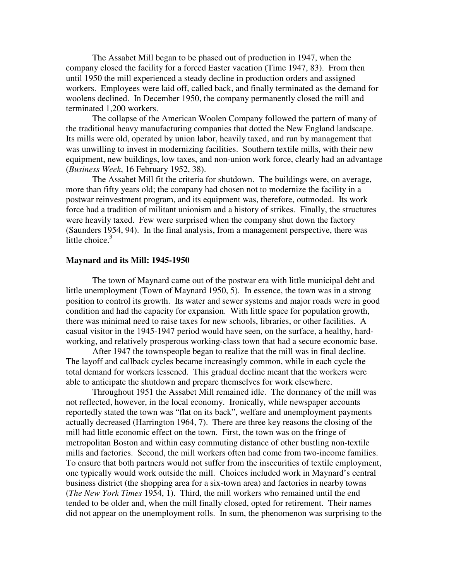The Assabet Mill began to be phased out of production in 1947, when the company closed the facility for a forced Easter vacation (Time 1947, 83). From then until 1950 the mill experienced a steady decline in production orders and assigned workers. Employees were laid off, called back, and finally terminated as the demand for woolens declined. In December 1950, the company permanently closed the mill and terminated 1,200 workers.

 The collapse of the American Woolen Company followed the pattern of many of the traditional heavy manufacturing companies that dotted the New England landscape. Its mills were old, operated by union labor, heavily taxed, and run by management that was unwilling to invest in modernizing facilities. Southern textile mills, with their new equipment, new buildings, low taxes, and non-union work force, clearly had an advantage (*Business Week*, 16 February 1952, 38).

 The Assabet Mill fit the criteria for shutdown. The buildings were, on average, more than fifty years old; the company had chosen not to modernize the facility in a postwar reinvestment program, and its equipment was, therefore, outmoded. Its work force had a tradition of militant unionism and a history of strikes. Finally, the structures were heavily taxed. Few were surprised when the company shut down the factory (Saunders 1954, 94). In the final analysis, from a management perspective, there was little choice. $3$ 

#### **Maynard and its Mill: 1945-1950**

 The town of Maynard came out of the postwar era with little municipal debt and little unemployment (Town of Maynard 1950, 5). In essence, the town was in a strong position to control its growth. Its water and sewer systems and major roads were in good condition and had the capacity for expansion. With little space for population growth, there was minimal need to raise taxes for new schools, libraries, or other facilities. A casual visitor in the 1945-1947 period would have seen, on the surface, a healthy, hardworking, and relatively prosperous working-class town that had a secure economic base.

 After 1947 the townspeople began to realize that the mill was in final decline. The layoff and callback cycles became increasingly common, while in each cycle the total demand for workers lessened. This gradual decline meant that the workers were able to anticipate the shutdown and prepare themselves for work elsewhere.

 Throughout 1951 the Assabet Mill remained idle. The dormancy of the mill was not reflected, however, in the local economy. Ironically, while newspaper accounts reportedly stated the town was "flat on its back", welfare and unemployment payments actually decreased (Harrington 1964, 7). There are three key reasons the closing of the mill had little economic effect on the town. First, the town was on the fringe of metropolitan Boston and within easy commuting distance of other bustling non-textile mills and factories. Second, the mill workers often had come from two-income families. To ensure that both partners would not suffer from the insecurities of textile employment, one typically would work outside the mill. Choices included work in Maynard's central business district (the shopping area for a six-town area) and factories in nearby towns (*The New York Times* 1954, 1). Third, the mill workers who remained until the end tended to be older and, when the mill finally closed, opted for retirement. Their names did not appear on the unemployment rolls. In sum, the phenomenon was surprising to the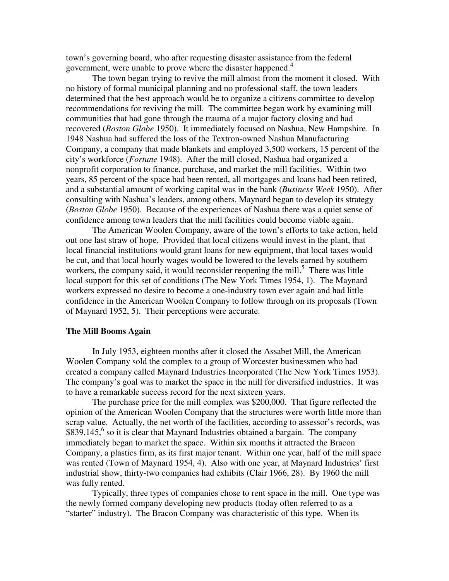town's governing board, who after requesting disaster assistance from the federal government, were unable to prove where the disaster happened.<sup>4</sup>

 The town began trying to revive the mill almost from the moment it closed. With no history of formal municipal planning and no professional staff, the town leaders determined that the best approach would be to organize a citizens committee to develop recommendations for reviving the mill. The committee began work by examining mill communities that had gone through the trauma of a major factory closing and had recovered (*Boston Globe* 1950). It immediately focused on Nashua, New Hampshire. In 1948 Nashua had suffered the loss of the Textron-owned Nashua Manufacturing Company, a company that made blankets and employed 3,500 workers, 15 percent of the city's workforce (*Fortune* 1948). After the mill closed, Nashua had organized a nonprofit corporation to finance, purchase, and market the mill facilities. Within two years, 85 percent of the space had been rented, all mortgages and loans had been retired, and a substantial amount of working capital was in the bank (*Business Week* 1950). After consulting with Nashua's leaders, among others, Maynard began to develop its strategy (*Boston Globe* 1950). Because of the experiences of Nashua there was a quiet sense of confidence among town leaders that the mill facilities could become viable again.

 The American Woolen Company, aware of the town's efforts to take action, held out one last straw of hope. Provided that local citizens would invest in the plant, that local financial institutions would grant loans for new equipment, that local taxes would be cut, and that local hourly wages would be lowered to the levels earned by southern workers, the company said, it would reconsider reopening the mill.<sup>5</sup> There was little local support for this set of conditions (The New York Times 1954, 1). The Maynard workers expressed no desire to become a one-industry town ever again and had little confidence in the American Woolen Company to follow through on its proposals (Town of Maynard 1952, 5). Their perceptions were accurate.

#### **The Mill Booms Again**

 In July 1953, eighteen months after it closed the Assabet Mill, the American Woolen Company sold the complex to a group of Worcester businessmen who had created a company called Maynard Industries Incorporated (The New York Times 1953). The company's goal was to market the space in the mill for diversified industries. It was to have a remarkable success record for the next sixteen years.

 The purchase price for the mill complex was \$200,000. That figure reflected the opinion of the American Woolen Company that the structures were worth little more than scrap value. Actually, the net worth of the facilities, according to assessor's records, was \$839,145,<sup>6</sup> so it is clear that Maynard Industries obtained a bargain. The company immediately began to market the space. Within six months it attracted the Bracon Company, a plastics firm, as its first major tenant. Within one year, half of the mill space was rented (Town of Maynard 1954, 4). Also with one year, at Maynard Industries' first industrial show, thirty-two companies had exhibits (Clair 1966, 28). By 1960 the mill was fully rented.

 Typically, three types of companies chose to rent space in the mill. One type was the newly formed company developing new products (today often referred to as a "starter" industry). The Bracon Company was characteristic of this type. When its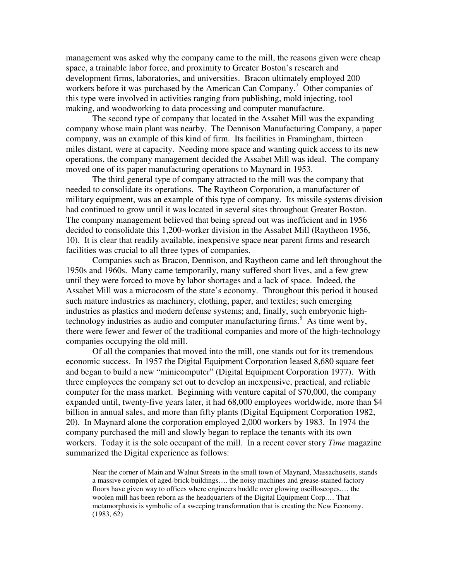management was asked why the company came to the mill, the reasons given were cheap space, a trainable labor force, and proximity to Greater Boston's research and development firms, laboratories, and universities. Bracon ultimately employed 200 workers before it was purchased by the American Can Company.<sup>7</sup> Other companies of this type were involved in activities ranging from publishing, mold injecting, tool making, and woodworking to data processing and computer manufacture.

 The second type of company that located in the Assabet Mill was the expanding company whose main plant was nearby. The Dennison Manufacturing Company, a paper company, was an example of this kind of firm. Its facilities in Framingham, thirteen miles distant, were at capacity. Needing more space and wanting quick access to its new operations, the company management decided the Assabet Mill was ideal. The company moved one of its paper manufacturing operations to Maynard in 1953.

 The third general type of company attracted to the mill was the company that needed to consolidate its operations. The Raytheon Corporation, a manufacturer of military equipment, was an example of this type of company. Its missile systems division had continued to grow until it was located in several sites throughout Greater Boston. The company management believed that being spread out was inefficient and in 1956 decided to consolidate this 1,200-worker division in the Assabet Mill (Raytheon 1956, 10). It is clear that readily available, inexpensive space near parent firms and research facilities was crucial to all three types of companies.

 Companies such as Bracon, Dennison, and Raytheon came and left throughout the 1950s and 1960s. Many came temporarily, many suffered short lives, and a few grew until they were forced to move by labor shortages and a lack of space. Indeed, the Assabet Mill was a microcosm of the state's economy. Throughout this period it housed such mature industries as machinery, clothing, paper, and textiles; such emerging industries as plastics and modern defense systems; and, finally, such embryonic hightechnology industries as audio and computer manufacturing firms.<sup>8</sup> As time went by, there were fewer and fewer of the traditional companies and more of the high-technology companies occupying the old mill.

 Of all the companies that moved into the mill, one stands out for its tremendous economic success. In 1957 the Digital Equipment Corporation leased 8,680 square feet and began to build a new "minicomputer" (Digital Equipment Corporation 1977). With three employees the company set out to develop an inexpensive, practical, and reliable computer for the mass market. Beginning with venture capital of \$70,000, the company expanded until, twenty-five years later, it had 68,000 employees worldwide, more than \$4 billion in annual sales, and more than fifty plants (Digital Equipment Corporation 1982, 20). In Maynard alone the corporation employed 2,000 workers by 1983. In 1974 the company purchased the mill and slowly began to replace the tenants with its own workers. Today it is the sole occupant of the mill. In a recent cover story *Time* magazine summarized the Digital experience as follows:

Near the corner of Main and Walnut Streets in the small town of Maynard, Massachusetts, stands a massive complex of aged-brick buildings…. the noisy machines and grease-stained factory floors have given way to offices where engineers huddle over glowing oscilloscopes.… the woolen mill has been reborn as the headquarters of the Digital Equipment Corp.… That metamorphosis is symbolic of a sweeping transformation that is creating the New Economy. (1983, 62)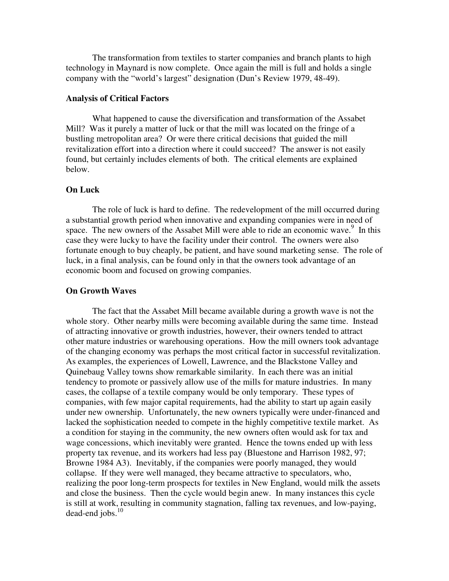The transformation from textiles to starter companies and branch plants to high technology in Maynard is now complete. Once again the mill is full and holds a single company with the "world's largest" designation (Dun's Review 1979, 48-49).

# **Analysis of Critical Factors**

 What happened to cause the diversification and transformation of the Assabet Mill? Was it purely a matter of luck or that the mill was located on the fringe of a bustling metropolitan area? Or were there critical decisions that guided the mill revitalization effort into a direction where it could succeed? The answer is not easily found, but certainly includes elements of both. The critical elements are explained below.

# **On Luck**

 The role of luck is hard to define. The redevelopment of the mill occurred during a substantial growth period when innovative and expanding companies were in need of space. The new owners of the Assabet Mill were able to ride an economic wave.<sup>9</sup> In this case they were lucky to have the facility under their control. The owners were also fortunate enough to buy cheaply, be patient, and have sound marketing sense. The role of luck, in a final analysis, can be found only in that the owners took advantage of an economic boom and focused on growing companies.

#### **On Growth Waves**

 The fact that the Assabet Mill became available during a growth wave is not the whole story. Other nearby mills were becoming available during the same time. Instead of attracting innovative or growth industries, however, their owners tended to attract other mature industries or warehousing operations. How the mill owners took advantage of the changing economy was perhaps the most critical factor in successful revitalization. As examples, the experiences of Lowell, Lawrence, and the Blackstone Valley and Quinebaug Valley towns show remarkable similarity. In each there was an initial tendency to promote or passively allow use of the mills for mature industries. In many cases, the collapse of a textile company would be only temporary. These types of companies, with few major capital requirements, had the ability to start up again easily under new ownership. Unfortunately, the new owners typically were under-financed and lacked the sophistication needed to compete in the highly competitive textile market. As a condition for staying in the community, the new owners often would ask for tax and wage concessions, which inevitably were granted. Hence the towns ended up with less property tax revenue, and its workers had less pay (Bluestone and Harrison 1982, 97; Browne 1984 A3). Inevitably, if the companies were poorly managed, they would collapse. If they were well managed, they became attractive to speculators, who, realizing the poor long-term prospects for textiles in New England, would milk the assets and close the business. Then the cycle would begin anew. In many instances this cycle is still at work, resulting in community stagnation, falling tax revenues, and low-paying, dead-end jobs. $10<sup>10</sup>$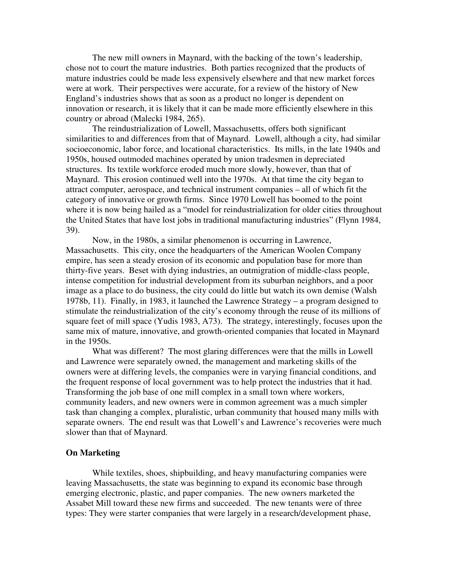The new mill owners in Maynard, with the backing of the town's leadership, chose not to court the mature industries. Both parties recognized that the products of mature industries could be made less expensively elsewhere and that new market forces were at work. Their perspectives were accurate, for a review of the history of New England's industries shows that as soon as a product no longer is dependent on innovation or research, it is likely that it can be made more efficiently elsewhere in this country or abroad (Malecki 1984, 265).

 The reindustrialization of Lowell, Massachusetts, offers both significant similarities to and differences from that of Maynard. Lowell, although a city, had similar socioeconomic, labor force, and locational characteristics. Its mills, in the late 1940s and 1950s, housed outmoded machines operated by union tradesmen in depreciated structures. Its textile workforce eroded much more slowly, however, than that of Maynard. This erosion continued well into the 1970s. At that time the city began to attract computer, aerospace, and technical instrument companies – all of which fit the category of innovative or growth firms. Since 1970 Lowell has boomed to the point where it is now being hailed as a "model for reindustrialization for older cities throughout the United States that have lost jobs in traditional manufacturing industries" (Flynn 1984, 39).

 Now, in the 1980s, a similar phenomenon is occurring in Lawrence, Massachusetts. This city, once the headquarters of the American Woolen Company empire, has seen a steady erosion of its economic and population base for more than thirty-five years. Beset with dying industries, an outmigration of middle-class people, intense competition for industrial development from its suburban neighbors, and a poor image as a place to do business, the city could do little but watch its own demise (Walsh 1978b, 11). Finally, in 1983, it launched the Lawrence Strategy – a program designed to stimulate the reindustrialization of the city's economy through the reuse of its millions of square feet of mill space (Yudis 1983, A73). The strategy, interestingly, focuses upon the same mix of mature, innovative, and growth-oriented companies that located in Maynard in the 1950s.

 What was different? The most glaring differences were that the mills in Lowell and Lawrence were separately owned, the management and marketing skills of the owners were at differing levels, the companies were in varying financial conditions, and the frequent response of local government was to help protect the industries that it had. Transforming the job base of one mill complex in a small town where workers, community leaders, and new owners were in common agreement was a much simpler task than changing a complex, pluralistic, urban community that housed many mills with separate owners. The end result was that Lowell's and Lawrence's recoveries were much slower than that of Maynard.

#### **On Marketing**

 While textiles, shoes, shipbuilding, and heavy manufacturing companies were leaving Massachusetts, the state was beginning to expand its economic base through emerging electronic, plastic, and paper companies. The new owners marketed the Assabet Mill toward these new firms and succeeded. The new tenants were of three types: They were starter companies that were largely in a research/development phase,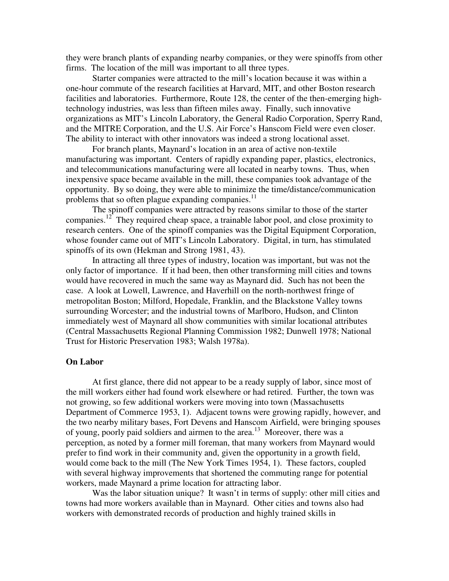they were branch plants of expanding nearby companies, or they were spinoffs from other firms. The location of the mill was important to all three types.

 Starter companies were attracted to the mill's location because it was within a one-hour commute of the research facilities at Harvard, MIT, and other Boston research facilities and laboratories. Furthermore, Route 128, the center of the then-emerging hightechnology industries, was less than fifteen miles away. Finally, such innovative organizations as MIT's Lincoln Laboratory, the General Radio Corporation, Sperry Rand, and the MITRE Corporation, and the U.S. Air Force's Hanscom Field were even closer. The ability to interact with other innovators was indeed a strong locational asset.

 For branch plants, Maynard's location in an area of active non-textile manufacturing was important. Centers of rapidly expanding paper, plastics, electronics, and telecommunications manufacturing were all located in nearby towns. Thus, when inexpensive space became available in the mill, these companies took advantage of the opportunity. By so doing, they were able to minimize the time/distance/communication problems that so often plague expanding companies.<sup>11</sup>

 The spinoff companies were attracted by reasons similar to those of the starter companies.<sup>12</sup> They required cheap space, a trainable labor pool, and close proximity to research centers. One of the spinoff companies was the Digital Equipment Corporation, whose founder came out of MIT's Lincoln Laboratory. Digital, in turn, has stimulated spinoffs of its own (Hekman and Strong 1981, 43).

 In attracting all three types of industry, location was important, but was not the only factor of importance. If it had been, then other transforming mill cities and towns would have recovered in much the same way as Maynard did. Such has not been the case. A look at Lowell, Lawrence, and Haverhill on the north-northwest fringe of metropolitan Boston; Milford, Hopedale, Franklin, and the Blackstone Valley towns surrounding Worcester; and the industrial towns of Marlboro, Hudson, and Clinton immediately west of Maynard all show communities with similar locational attributes (Central Massachusetts Regional Planning Commission 1982; Dunwell 1978; National Trust for Historic Preservation 1983; Walsh 1978a).

#### **On Labor**

 At first glance, there did not appear to be a ready supply of labor, since most of the mill workers either had found work elsewhere or had retired. Further, the town was not growing, so few additional workers were moving into town (Massachusetts Department of Commerce 1953, 1). Adjacent towns were growing rapidly, however, and the two nearby military bases, Fort Devens and Hanscom Airfield, were bringing spouses of young, poorly paid soldiers and airmen to the area.<sup>13</sup> Moreover, there was a perception, as noted by a former mill foreman, that many workers from Maynard would prefer to find work in their community and, given the opportunity in a growth field, would come back to the mill (The New York Times 1954, 1). These factors, coupled with several highway improvements that shortened the commuting range for potential workers, made Maynard a prime location for attracting labor.

 Was the labor situation unique? It wasn't in terms of supply: other mill cities and towns had more workers available than in Maynard. Other cities and towns also had workers with demonstrated records of production and highly trained skills in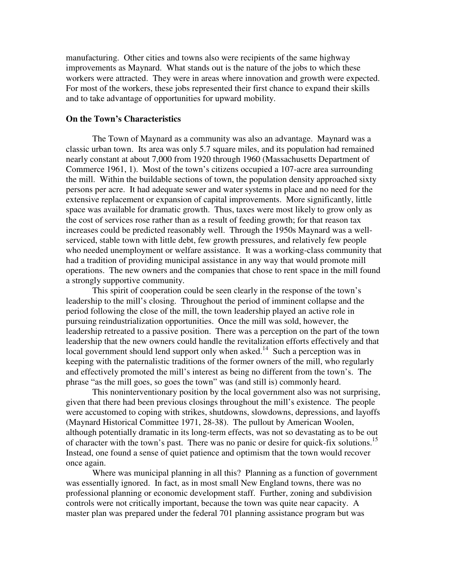manufacturing. Other cities and towns also were recipients of the same highway improvements as Maynard. What stands out is the nature of the jobs to which these workers were attracted. They were in areas where innovation and growth were expected. For most of the workers, these jobs represented their first chance to expand their skills and to take advantage of opportunities for upward mobility.

# **On the Town's Characteristics**

 The Town of Maynard as a community was also an advantage. Maynard was a classic urban town. Its area was only 5.7 square miles, and its population had remained nearly constant at about 7,000 from 1920 through 1960 (Massachusetts Department of Commerce 1961, 1). Most of the town's citizens occupied a 107-acre area surrounding the mill. Within the buildable sections of town, the population density approached sixty persons per acre. It had adequate sewer and water systems in place and no need for the extensive replacement or expansion of capital improvements. More significantly, little space was available for dramatic growth. Thus, taxes were most likely to grow only as the cost of services rose rather than as a result of feeding growth; for that reason tax increases could be predicted reasonably well. Through the 1950s Maynard was a wellserviced, stable town with little debt, few growth pressures, and relatively few people who needed unemployment or welfare assistance. It was a working-class community that had a tradition of providing municipal assistance in any way that would promote mill operations. The new owners and the companies that chose to rent space in the mill found a strongly supportive community.

 This spirit of cooperation could be seen clearly in the response of the town's leadership to the mill's closing. Throughout the period of imminent collapse and the period following the close of the mill, the town leadership played an active role in pursuing reindustrialization opportunities. Once the mill was sold, however, the leadership retreated to a passive position. There was a perception on the part of the town leadership that the new owners could handle the revitalization efforts effectively and that local government should lend support only when asked.<sup>14</sup> Such a perception was in keeping with the paternalistic traditions of the former owners of the mill, who regularly and effectively promoted the mill's interest as being no different from the town's. The phrase "as the mill goes, so goes the town" was (and still is) commonly heard.

 This noninterventionary position by the local government also was not surprising, given that there had been previous closings throughout the mill's existence. The people were accustomed to coping with strikes, shutdowns, slowdowns, depressions, and layoffs (Maynard Historical Committee 1971, 28-38). The pullout by American Woolen, although potentially dramatic in its long-term effects, was not so devastating as to be out of character with the town's past. There was no panic or desire for quick-fix solutions.<sup>15</sup> Instead, one found a sense of quiet patience and optimism that the town would recover once again.

 Where was municipal planning in all this? Planning as a function of government was essentially ignored. In fact, as in most small New England towns, there was no professional planning or economic development staff. Further, zoning and subdivision controls were not critically important, because the town was quite near capacity. A master plan was prepared under the federal 701 planning assistance program but was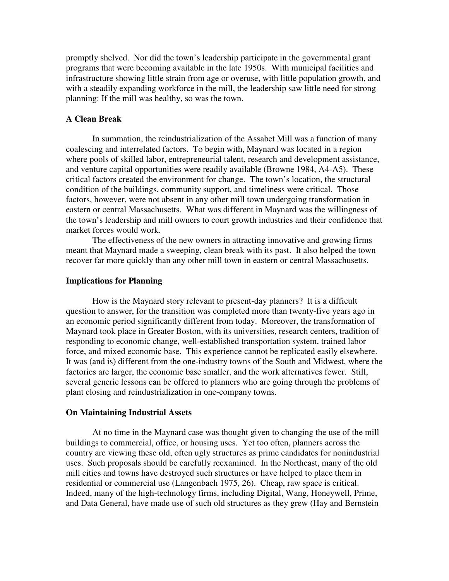promptly shelved. Nor did the town's leadership participate in the governmental grant programs that were becoming available in the late 1950s. With municipal facilities and infrastructure showing little strain from age or overuse, with little population growth, and with a steadily expanding workforce in the mill, the leadership saw little need for strong planning: If the mill was healthy, so was the town.

# **A Clean Break**

 In summation, the reindustrialization of the Assabet Mill was a function of many coalescing and interrelated factors. To begin with, Maynard was located in a region where pools of skilled labor, entrepreneurial talent, research and development assistance, and venture capital opportunities were readily available (Browne 1984, A4-A5). These critical factors created the environment for change. The town's location, the structural condition of the buildings, community support, and timeliness were critical. Those factors, however, were not absent in any other mill town undergoing transformation in eastern or central Massachusetts. What was different in Maynard was the willingness of the town's leadership and mill owners to court growth industries and their confidence that market forces would work.

 The effectiveness of the new owners in attracting innovative and growing firms meant that Maynard made a sweeping, clean break with its past. It also helped the town recover far more quickly than any other mill town in eastern or central Massachusetts.

#### **Implications for Planning**

 How is the Maynard story relevant to present-day planners? It is a difficult question to answer, for the transition was completed more than twenty-five years ago in an economic period significantly different from today. Moreover, the transformation of Maynard took place in Greater Boston, with its universities, research centers, tradition of responding to economic change, well-established transportation system, trained labor force, and mixed economic base. This experience cannot be replicated easily elsewhere. It was (and is) different from the one-industry towns of the South and Midwest, where the factories are larger, the economic base smaller, and the work alternatives fewer. Still, several generic lessons can be offered to planners who are going through the problems of plant closing and reindustrialization in one-company towns.

#### **On Maintaining Industrial Assets**

 At no time in the Maynard case was thought given to changing the use of the mill buildings to commercial, office, or housing uses. Yet too often, planners across the country are viewing these old, often ugly structures as prime candidates for nonindustrial uses. Such proposals should be carefully reexamined. In the Northeast, many of the old mill cities and towns have destroyed such structures or have helped to place them in residential or commercial use (Langenbach 1975, 26). Cheap, raw space is critical. Indeed, many of the high-technology firms, including Digital, Wang, Honeywell, Prime, and Data General, have made use of such old structures as they grew (Hay and Bernstein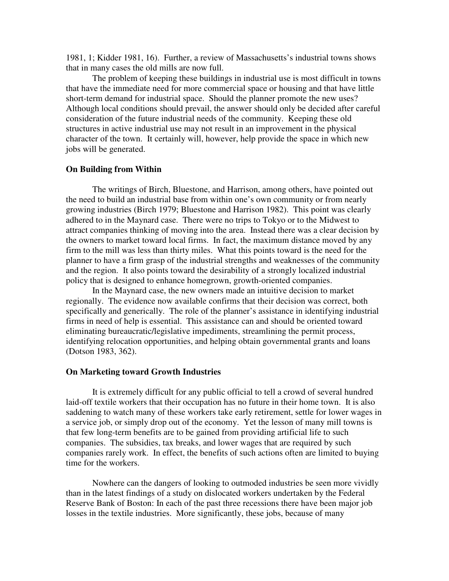1981, 1; Kidder 1981, 16). Further, a review of Massachusetts's industrial towns shows that in many cases the old mills are now full.

 The problem of keeping these buildings in industrial use is most difficult in towns that have the immediate need for more commercial space or housing and that have little short-term demand for industrial space. Should the planner promote the new uses? Although local conditions should prevail, the answer should only be decided after careful consideration of the future industrial needs of the community. Keeping these old structures in active industrial use may not result in an improvement in the physical character of the town. It certainly will, however, help provide the space in which new jobs will be generated.

#### **On Building from Within**

 The writings of Birch, Bluestone, and Harrison, among others, have pointed out the need to build an industrial base from within one's own community or from nearly growing industries (Birch 1979; Bluestone and Harrison 1982). This point was clearly adhered to in the Maynard case. There were no trips to Tokyo or to the Midwest to attract companies thinking of moving into the area. Instead there was a clear decision by the owners to market toward local firms. In fact, the maximum distance moved by any firm to the mill was less than thirty miles. What this points toward is the need for the planner to have a firm grasp of the industrial strengths and weaknesses of the community and the region. It also points toward the desirability of a strongly localized industrial policy that is designed to enhance homegrown, growth-oriented companies.

 In the Maynard case, the new owners made an intuitive decision to market regionally. The evidence now available confirms that their decision was correct, both specifically and generically. The role of the planner's assistance in identifying industrial firms in need of help is essential. This assistance can and should be oriented toward eliminating bureaucratic/legislative impediments, streamlining the permit process, identifying relocation opportunities, and helping obtain governmental grants and loans (Dotson 1983, 362).

#### **On Marketing toward Growth Industries**

 It is extremely difficult for any public official to tell a crowd of several hundred laid-off textile workers that their occupation has no future in their home town. It is also saddening to watch many of these workers take early retirement, settle for lower wages in a service job, or simply drop out of the economy. Yet the lesson of many mill towns is that few long-term benefits are to be gained from providing artificial life to such companies. The subsidies, tax breaks, and lower wages that are required by such companies rarely work. In effect, the benefits of such actions often are limited to buying time for the workers.

 Nowhere can the dangers of looking to outmoded industries be seen more vividly than in the latest findings of a study on dislocated workers undertaken by the Federal Reserve Bank of Boston: In each of the past three recessions there have been major job losses in the textile industries. More significantly, these jobs, because of many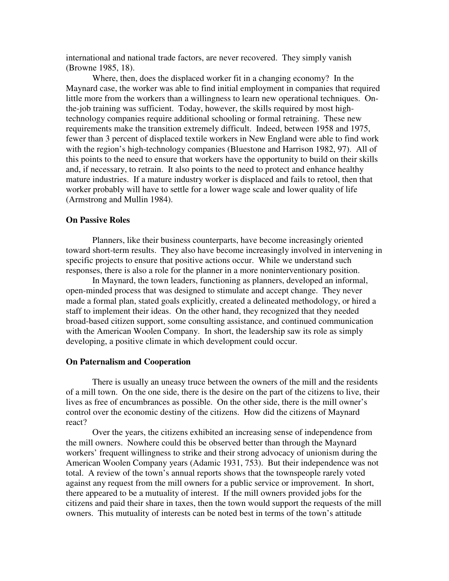international and national trade factors, are never recovered. They simply vanish (Browne 1985, 18).

 Where, then, does the displaced worker fit in a changing economy? In the Maynard case, the worker was able to find initial employment in companies that required little more from the workers than a willingness to learn new operational techniques. Onthe-job training was sufficient. Today, however, the skills required by most hightechnology companies require additional schooling or formal retraining. These new requirements make the transition extremely difficult. Indeed, between 1958 and 1975, fewer than 3 percent of displaced textile workers in New England were able to find work with the region's high-technology companies (Bluestone and Harrison 1982, 97). All of this points to the need to ensure that workers have the opportunity to build on their skills and, if necessary, to retrain. It also points to the need to protect and enhance healthy mature industries. If a mature industry worker is displaced and fails to retool, then that worker probably will have to settle for a lower wage scale and lower quality of life (Armstrong and Mullin 1984).

#### **On Passive Roles**

 Planners, like their business counterparts, have become increasingly oriented toward short-term results. They also have become increasingly involved in intervening in specific projects to ensure that positive actions occur. While we understand such responses, there is also a role for the planner in a more noninterventionary position.

 In Maynard, the town leaders, functioning as planners, developed an informal, open-minded process that was designed to stimulate and accept change. They never made a formal plan, stated goals explicitly, created a delineated methodology, or hired a staff to implement their ideas. On the other hand, they recognized that they needed broad-based citizen support, some consulting assistance, and continued communication with the American Woolen Company. In short, the leadership saw its role as simply developing, a positive climate in which development could occur.

#### **On Paternalism and Cooperation**

 There is usually an uneasy truce between the owners of the mill and the residents of a mill town. On the one side, there is the desire on the part of the citizens to live, their lives as free of encumbrances as possible. On the other side, there is the mill owner's control over the economic destiny of the citizens. How did the citizens of Maynard react?

 Over the years, the citizens exhibited an increasing sense of independence from the mill owners. Nowhere could this be observed better than through the Maynard workers' frequent willingness to strike and their strong advocacy of unionism during the American Woolen Company years (Adamic 1931, 753). But their independence was not total. A review of the town's annual reports shows that the townspeople rarely voted against any request from the mill owners for a public service or improvement. In short, there appeared to be a mutuality of interest. If the mill owners provided jobs for the citizens and paid their share in taxes, then the town would support the requests of the mill owners. This mutuality of interests can be noted best in terms of the town's attitude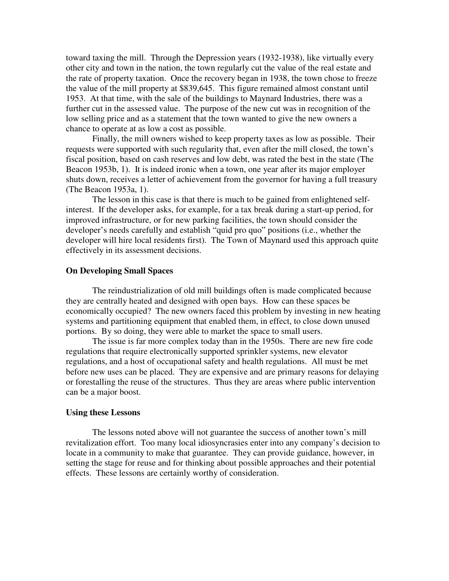toward taxing the mill. Through the Depression years (1932-1938), like virtually every other city and town in the nation, the town regularly cut the value of the real estate and the rate of property taxation. Once the recovery began in 1938, the town chose to freeze the value of the mill property at \$839,645. This figure remained almost constant until 1953. At that time, with the sale of the buildings to Maynard Industries, there was a further cut in the assessed value. The purpose of the new cut was in recognition of the low selling price and as a statement that the town wanted to give the new owners a chance to operate at as low a cost as possible.

 Finally, the mill owners wished to keep property taxes as low as possible. Their requests were supported with such regularity that, even after the mill closed, the town's fiscal position, based on cash reserves and low debt, was rated the best in the state (The Beacon 1953b, 1). It is indeed ironic when a town, one year after its major employer shuts down, receives a letter of achievement from the governor for having a full treasury (The Beacon 1953a, 1).

 The lesson in this case is that there is much to be gained from enlightened selfinterest. If the developer asks, for example, for a tax break during a start-up period, for improved infrastructure, or for new parking facilities, the town should consider the developer's needs carefully and establish "quid pro quo" positions (i.e., whether the developer will hire local residents first). The Town of Maynard used this approach quite effectively in its assessment decisions.

# **On Developing Small Spaces**

 The reindustrialization of old mill buildings often is made complicated because they are centrally heated and designed with open bays. How can these spaces be economically occupied? The new owners faced this problem by investing in new heating systems and partitioning equipment that enabled them, in effect, to close down unused portions. By so doing, they were able to market the space to small users.

 The issue is far more complex today than in the 1950s. There are new fire code regulations that require electronically supported sprinkler systems, new elevator regulations, and a host of occupational safety and health regulations. All must be met before new uses can be placed. They are expensive and are primary reasons for delaying or forestalling the reuse of the structures. Thus they are areas where public intervention can be a major boost.

#### **Using these Lessons**

 The lessons noted above will not guarantee the success of another town's mill revitalization effort. Too many local idiosyncrasies enter into any company's decision to locate in a community to make that guarantee. They can provide guidance, however, in setting the stage for reuse and for thinking about possible approaches and their potential effects. These lessons are certainly worthy of consideration.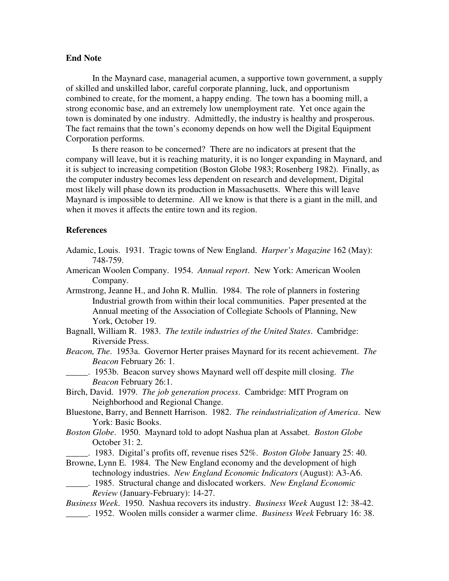# **End Note**

 In the Maynard case, managerial acumen, a supportive town government, a supply of skilled and unskilled labor, careful corporate planning, luck, and opportunism combined to create, for the moment, a happy ending. The town has a booming mill, a strong economic base, and an extremely low unemployment rate. Yet once again the town is dominated by one industry. Admittedly, the industry is healthy and prosperous. The fact remains that the town's economy depends on how well the Digital Equipment Corporation performs.

 Is there reason to be concerned? There are no indicators at present that the company will leave, but it is reaching maturity, it is no longer expanding in Maynard, and it is subject to increasing competition (Boston Globe 1983; Rosenberg 1982). Finally, as the computer industry becomes less dependent on research and development, Digital most likely will phase down its production in Massachusetts. Where this will leave Maynard is impossible to determine. All we know is that there is a giant in the mill, and when it moves it affects the entire town and its region.

# **References**

- Adamic, Louis. 1931. Tragic towns of New England. *Harper's Magazine* 162 (May): 748-759.
- American Woolen Company. 1954. *Annual report*. New York: American Woolen Company.

Armstrong, Jeanne H., and John R. Mullin. 1984. The role of planners in fostering Industrial growth from within their local communities. Paper presented at the Annual meeting of the Association of Collegiate Schools of Planning, New York, October 19.

- Bagnall, William R. 1983. *The textile industries of the United States*. Cambridge: Riverside Press.
- *Beacon, The*. 1953a. Governor Herter praises Maynard for its recent achievement. *The Beacon* February 26: 1.
	- \_\_\_\_\_. 1953b. Beacon survey shows Maynard well off despite mill closing. *The Beacon* February 26:1.
- Birch, David. 1979. *The job generation process*. Cambridge: MIT Program on Neighborhood and Regional Change.
- Bluestone, Barry, and Bennett Harrison. 1982. *The reindustrialization of America*. New York: Basic Books.
- *Boston Globe*. 1950. Maynard told to adopt Nashua plan at Assabet. *Boston Globe* October 31: 2.
	- \_\_\_\_\_. 1983. Digital's profits off, revenue rises 52%. *Boston Globe* January 25: 40.
- Browne, Lynn E. 1984. The New England economy and the development of high technology industries. *New England Economic Indicators* (August): A3-A6. \_\_\_\_\_. 1985. Structural change and dislocated workers. *New England Economic*
- *Review* (January-February): 14-27.
- *Business Week*. 1950. Nashua recovers its industry. *Business Week* August 12: 38-42. \_\_\_\_\_. 1952. Woolen mills consider a warmer clime. *Business Week* February 16: 38.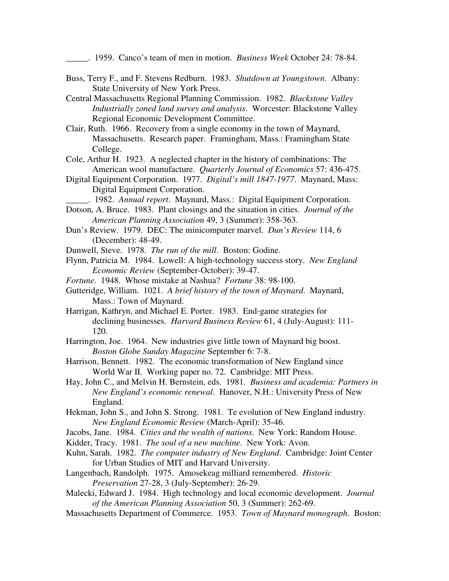\_\_\_\_\_. 1959. Canco's team of men in motion. *Business Week* October 24: 78-84.

- Buss, Terry F., and F. Stevens Redburn. 1983. *Shutdown at Youngstown*. Albany: State University of New York Press.
- Central Massachusetts Regional Planning Commission. 1982. *Blackstone Valley Industrially zoned land survey and analysis*. Worcester: Blackstone Valley Regional Economic Development Committee.
- Clair, Ruth. 1966. Recovery from a single economy in the town of Maynard, Massachusetts. Research paper. Framingham, Mass.: Framingham State College.
- Cole, Arthur H. 1923. A neglected chapter in the history of combinations: The American wool manufacture. *Quarterly Journal of Economics* 57: 436-475.
- Digital Equipment Corporation. 1977. *Digital's mill 1847-1977*. Maynard, Mass: Digital Equipment Corporation.
	- \_\_\_\_\_. 1982. *Annual report*. Maynard, Mass.: Digital Equipment Corporation.
- Dotson, A. Bruce. 1983. Plant closings and the situation in cities. *Journal of the American Planning Association* 49, 3 (Summer): 358-363.
- Dun's Review. 1979. DEC: The minicomputer marvel. *Dun's Review* 114, 6 (December): 48-49.
- Dunwell, Steve. 1978. *The run of the mill*. Boston: Godine.
- Flynn, Patricia M. 1984. Lowell: A high-technology success story. *New England Economic Review* (September-October): 39-47.
- *Fortune*. 1948. Whose mistake at Nashua? *Fortune* 38: 98-100.
- Gutteridge, William. 1021. *A brief history of the town of Maynard*. Maynard, Mass.: Town of Maynard.
- Harrigan, Kathryn, and Michael E. Porter. 1983. End-game strategies for declining businesses. *Harvard Business Review* 61, 4 (July-August): 111- 120.
- Harrington, Joe. 1964. New industries give little town of Maynard big boost. *Boston Globe Sunday Magazine* September 6: 7-8.
- Harrison, Bennett. 1982. The economic transformation of New England since World War II. Working paper no. 72. Cambridge: MIT Press.
- Hay, John C., and Melvin H. Bernstein, eds. 1981. *Business and academia: Partners in New England's economic renewal*. Hanover, N.H.: University Press of New England.
- Hekman, John S., and John S. Strong. 1981. Te evolution of New England industry. *New England Economic Review* (March-April): 35-46.
- Jacobs, Jane. 1984. *Cities and the wealth of nations*. New York: Random House.
- Kidder, Tracy. 1981. *The soul of a new machine*. New York: Avon.
- Kuhn, Sarah. 1982. *The computer industry of New England*. Cambridge: Joint Center for Urban Studies of MIT and Harvard University.
- Langenbach, Randolph. 1975. Amosekeag milliard remembered. *Historic Preservation* 27-28, 3 (July-September): 26-29.
- Malecki, Edward J. 1984. High technology and local economic development. *Journal of the American Planning Association* 50, 3 (Summer): 262-69.
- Massachusetts Department of Commerce. 1953. *Town of Maynard monograph*. Boston: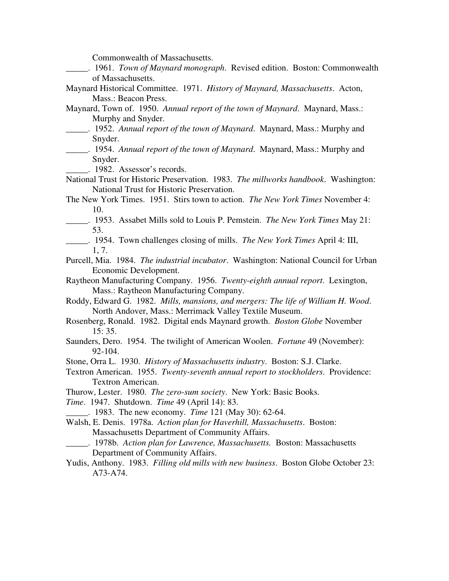Commonwealth of Massachusetts.

- \_\_\_\_\_. 1961. *Town of Maynard monograph*. Revised edition. Boston: Commonwealth of Massachusetts.
- Maynard Historical Committee. 1971. *History of Maynard, Massachusetts*. Acton, Mass.: Beacon Press.
- Maynard, Town of. 1950. *Annual report of the town of Maynard*. Maynard, Mass.: Murphy and Snyder.
	- \_\_\_\_\_. 1952. *Annual report of the town of Maynard*. Maynard, Mass.: Murphy and Snyder.
- \_\_\_\_\_. 1954. *Annual report of the town of Maynard*. Maynard, Mass.: Murphy and Snyder.
	- \_\_\_\_\_. 1982. Assessor's records.

National Trust for Historic Preservation. 1983. *The millworks handbook*. Washington: National Trust for Historic Preservation.

- The New York Times. 1951. Stirs town to action. *The New York Times* November 4: 10.
- \_\_\_\_\_. 1953. Assabet Mills sold to Louis P. Pemstein. *The New York Times* May 21: 53.
- \_\_\_\_\_. 1954. Town challenges closing of mills. *The New York Times* April 4: III, 1, 7.
- Purcell, Mia. 1984. *The industrial incubator*. Washington: National Council for Urban Economic Development.
- Raytheon Manufacturing Company. 1956. *Twenty-eighth annual report*. Lexington, Mass.: Raytheon Manufacturing Company.
- Roddy, Edward G. 1982. *Mills, mansions, and mergers: The life of William H. Wood*. North Andover, Mass.: Merrimack Valley Textile Museum.
- Rosenberg, Ronald. 1982. Digital ends Maynard growth. *Boston Globe* November 15: 35.
- Saunders, Dero. 1954. The twilight of American Woolen. *Fortune* 49 (November): 92-104.
- Stone, Orra L. 1930. *History of Massachusetts industry*. Boston: S.J. Clarke.
- Textron American. 1955. *Twenty-seventh annual report to stockholders*. Providence: Textron American.
- Thurow, Lester. 1980. *The zero-sum society*. New York: Basic Books.
- *Time*. 1947. Shutdown. *Time* 49 (April 14): 83.
	- \_\_\_\_\_. 1983. The new economy. *Time* 121 (May 30): 62-64.
- Walsh, E. Denis. 1978a. *Action plan for Haverhill, Massachusetts*. Boston: Massachusetts Department of Community Affairs.
- \_\_\_\_\_. 1978b. *Action plan for Lawrence, Massachusetts.* Boston: Massachusetts Department of Community Affairs.
- Yudis, Anthony. 1983. *Filling old mills with new business*. Boston Globe October 23: A73-A74.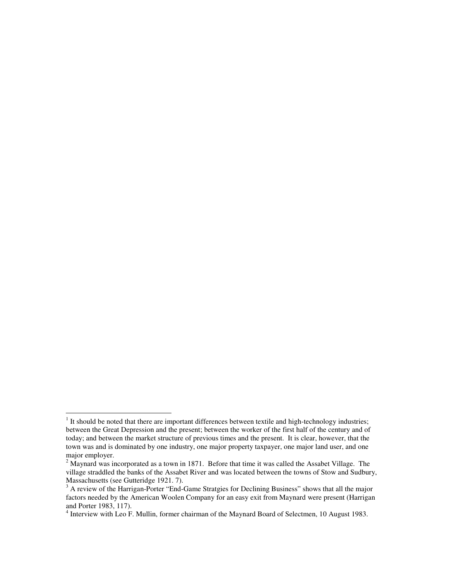<sup>&</sup>lt;sup>1</sup> It should be noted that there are important differences between textile and high-technology industries; between the Great Depression and the present; between the worker of the first half of the century and of today; and between the market structure of previous times and the present. It is clear, however, that the town was and is dominated by one industry, one major property taxpayer, one major land user, and one major employer.

 $2$  Maynard was incorporated as a town in 1871. Before that time it was called the Assabet Village. The village straddled the banks of the Assabet River and was located between the towns of Stow and Sudbury, Massachusetts (see Gutteridge 1921. 7).

<sup>&</sup>lt;sup>3</sup> A review of the Harrigan-Porter "End-Game Stratgies for Declining Business" shows that all the major factors needed by the American Woolen Company for an easy exit from Maynard were present (Harrigan and Porter 1983, 117).

<sup>&</sup>lt;sup>4</sup> Interview with Leo F. Mullin, former chairman of the Maynard Board of Selectmen, 10 August 1983.